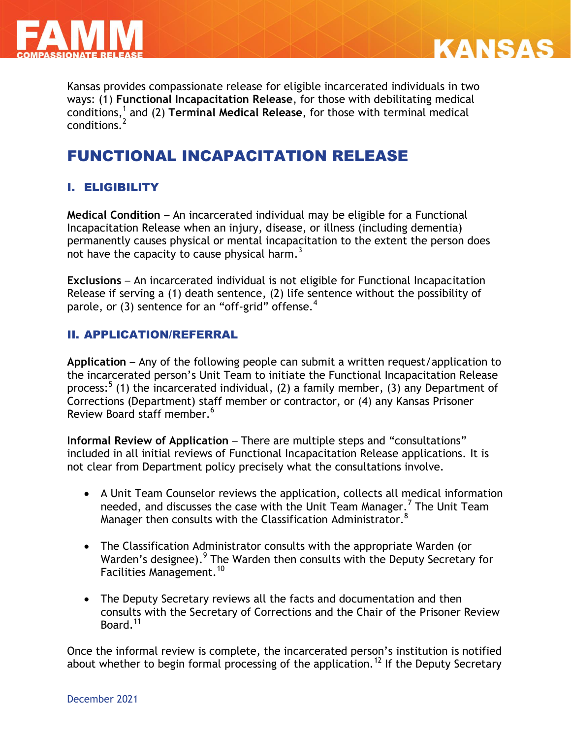



**KANSAS** 

# FUNCTIONAL INCAPACITATION RELEASE

# I. ELIGIBILITY

**Medical Condition** – An incarcerated individual may be eligible for a Functional Incapacitation Release when an injury, disease, or illness (including dementia) permanently causes physical or mental incapacitation to the extent the person does not have the capacity to cause physical harm.<sup>3</sup>

**Exclusions** – An incarcerated individual is not eligible for Functional Incapacitation Release if serving a (1) death sentence, (2) life sentence without the possibility of parole, or (3) sentence for an "off-grid" offense. $4$ 

## II. APPLICATION/REFERRAL

**Application** – Any of the following people can submit a written request/application to the incarcerated person's Unit Team to initiate the Functional Incapacitation Release process:<sup>5</sup> (1) the incarcerated individual, (2) a family member, (3) any Department of Corrections (Department) staff member or contractor, or (4) any Kansas Prisoner Review Board staff member. 6

**Informal Review of Application – There are multiple steps and "consultations"** included in all initial reviews of Functional Incapacitation Release applications. It is not clear from Department policy precisely what the consultations involve.

- A Unit Team Counselor reviews the application, collects all medical information needed, and discusses the case with the Unit Team Manager.<sup>7</sup> The Unit Team Manager then consults with the Classification Administrator. $^8$
- The Classification Administrator consults with the appropriate Warden (or Warden's designee). <sup>9</sup> The Warden then consults with the Deputy Secretary for Facilities Management.<sup>10</sup>
- The Deputy Secretary reviews all the facts and documentation and then consults with the Secretary of Corrections and the Chair of the Prisoner Review Board.<sup>11</sup>

Once the informal review is complete, the incarcerated person's institution is notified about whether to begin formal processing of the application.<sup>12</sup> If the Deputy Secretary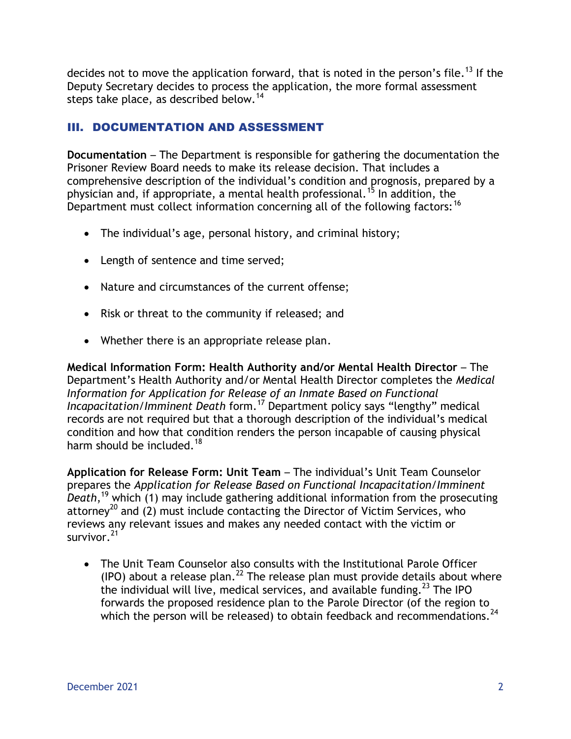decides not to move the application forward, that is noted in the person's file.<sup>13</sup> If the Deputy Secretary decides to process the application, the more formal assessment steps take place, as described below.<sup>14</sup>

# III. DOCUMENTATION AND ASSESSMENT

**Documentation** – The Department is responsible for gathering the documentation the Prisoner Review Board needs to make its release decision. That includes a comprehensive description of the individual's condition and prognosis, prepared by a physician and, if appropriate, a mental health professional.<sup>15</sup> In addition, the Department must collect information concerning all of the following factors:<sup>16</sup>

- The individual's age, personal history, and criminal history;
- Length of sentence and time served;
- Nature and circumstances of the current offense;
- Risk or threat to the community if released; and
- Whether there is an appropriate release plan.

**Medical Information Form: Health Authority and/or Mental Health Director** – The Department's Health Authority and/or Mental Health Director completes the *Medical Information for Application for Release of an Inmate Based on Functional Incapacitation/Imminent Death* form.<sup>17</sup> Department policy says "lengthy" medical records are not required but that a thorough description of the individual's medical condition and how that condition renders the person incapable of causing physical harm should be included.<sup>18</sup>

**Application for Release Form: Unit Team** – The individual's Unit Team Counselor prepares the *Application for Release Based on Functional Incapacitation/Imminent Death*, <sup>19</sup> which (1) may include gathering additional information from the prosecuting attorney<sup>20</sup> and (2) must include contacting the Director of Victim Services, who reviews any relevant issues and makes any needed contact with the victim or survivor.<sup>21</sup>

 The Unit Team Counselor also consults with the Institutional Parole Officer (IPO) about a release plan.<sup>22</sup> The release plan must provide details about where the individual will live, medical services, and available funding.<sup>23</sup> The IPO forwards the proposed residence plan to the Parole Director (of the region to which the person will be released) to obtain feedback and recommendations.<sup>24</sup>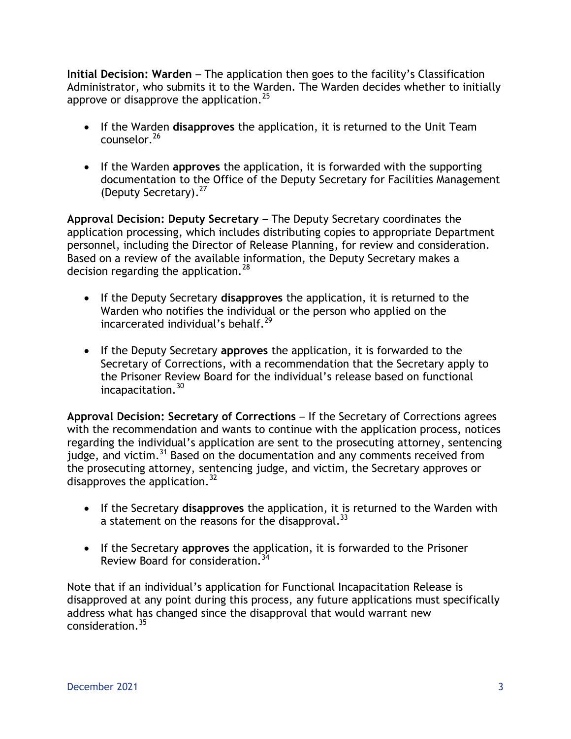**Initial Decision: Warden** – The application then goes to the facility's Classification Administrator, who submits it to the Warden. The Warden decides whether to initially approve or disapprove the application.<sup>25</sup>

- If the Warden **disapproves** the application, it is returned to the Unit Team counselor.<sup>26</sup>
- If the Warden **approves** the application, it is forwarded with the supporting documentation to the Office of the Deputy Secretary for Facilities Management (Deputy Secretary). 27

**Approval Decision: Deputy Secretary** – The Deputy Secretary coordinates the application processing, which includes distributing copies to appropriate Department personnel, including the Director of Release Planning, for review and consideration. Based on a review of the available information, the Deputy Secretary makes a decision regarding the application.<sup>28</sup>

- If the Deputy Secretary **disapproves** the application, it is returned to the Warden who notifies the individual or the person who applied on the incarcerated individual's behalf. $^{29}$
- If the Deputy Secretary **approves** the application, it is forwarded to the Secretary of Corrections, with a recommendation that the Secretary apply to the Prisoner Review Board for the individual's release based on functional incapacitation.<sup>30</sup>

**Approval Decision: Secretary of Corrections** – If the Secretary of Corrections agrees with the recommendation and wants to continue with the application process, notices regarding the individual's application are sent to the prosecuting attorney, sentencing judge, and victim.<sup>31</sup> Based on the documentation and any comments received from the prosecuting attorney, sentencing judge, and victim, the Secretary approves or disapproves the application.<sup>32</sup>

- If the Secretary **disapproves** the application, it is returned to the Warden with a statement on the reasons for the disapproval.  $33$
- If the Secretary **approves** the application, it is forwarded to the Prisoner Review Board for consideration.<sup>34</sup>

Note that if an individual's application for Functional Incapacitation Release is disapproved at any point during this process, any future applications must specifically address what has changed since the disapproval that would warrant new consideration.<sup>35</sup>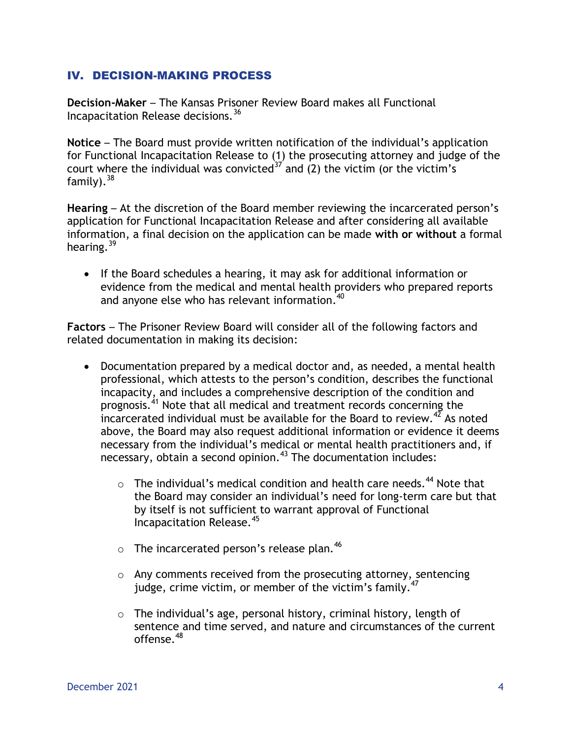### IV. DECISION-MAKING PROCESS

**Decision-Maker** – The Kansas Prisoner Review Board makes all Functional Incapacitation Release decisions.<sup>36</sup>

**Notice** – The Board must provide written notification of the individual's application for Functional Incapacitation Release to (1) the prosecuting attorney and judge of the court where the individual was convicted  $37'$  and (2) the victim (or the victim's family). 38

**Hearing** – At the discretion of the Board member reviewing the incarcerated person's application for Functional Incapacitation Release and after considering all available information, a final decision on the application can be made **with or without** a formal hearing.<sup>39</sup>

• If the Board schedules a hearing, it may ask for additional information or evidence from the medical and mental health providers who prepared reports and anyone else who has relevant information.<sup>40</sup>

**Factors** – The Prisoner Review Board will consider all of the following factors and related documentation in making its decision:

- Documentation prepared by a medical doctor and, as needed, a mental health professional, which attests to the person's condition, describes the functional incapacity, and includes a comprehensive description of the condition and prognosis.<sup>41</sup> Note that all medical and treatment records concerning the incarcerated individual must be available for the Board to review.<sup>42</sup> As noted above, the Board may also request additional information or evidence it deems necessary from the individual's medical or mental health practitioners and, if necessary, obtain a second opinion. <sup>43</sup> The documentation includes:
	- $\circ$  The individual's medical condition and health care needs.<sup>44</sup> Note that the Board may consider an individual's need for long-term care but that by itself is not sufficient to warrant approval of Functional Incapacitation Release.<sup>45</sup>
	- $\circ$  The incarcerated person's release plan.<sup>46</sup>
	- o Any comments received from the prosecuting attorney, sentencing judge, crime victim, or member of the victim's family.<sup>47</sup>
	- o The individual's age, personal history, criminal history, length of sentence and time served, and nature and circumstances of the current offense.<sup>48</sup>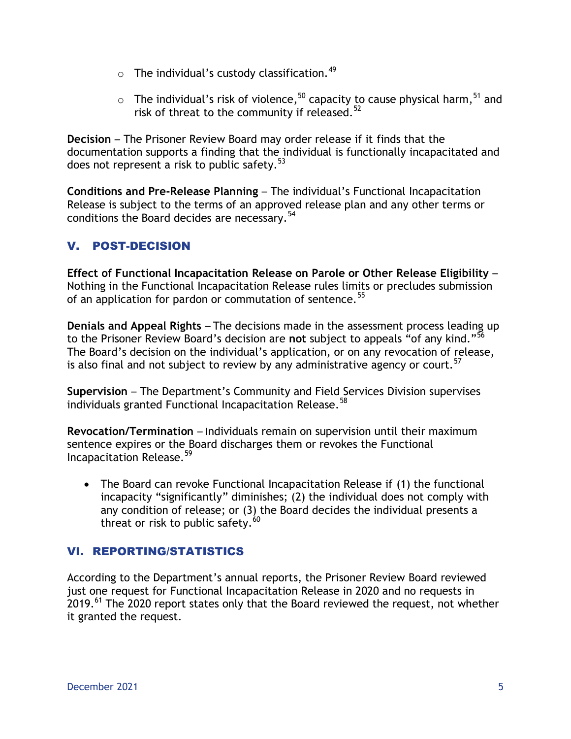- $\circ$  The individual's custody classification.<sup>49</sup>
- $\circ$  The individual's risk of violence,<sup>50</sup> capacity to cause physical harm,<sup>51</sup> and risk of threat to the community if released. $52$

**Decision** – The Prisoner Review Board may order release if it finds that the documentation supports a finding that the individual is functionally incapacitated and does not represent a risk to public safety.  $53$ 

**Conditions and Pre-Release Planning** – The individual's Functional Incapacitation Release is subject to the terms of an approved release plan and any other terms or conditions the Board decides are necessary.<sup>54</sup>

# V. POST-DECISION

**Effect of Functional Incapacitation Release on Parole or Other Release Eligibility** – Nothing in the Functional Incapacitation Release rules limits or precludes submission of an application for pardon or commutation of sentence.<sup>55</sup>

**Denials and Appeal Rights** – The decisions made in the assessment process leading up to the Prisoner Review Board's decision are **not** subject to appeals "of any kind."<sup>56</sup> The Board's decision on the individual's application, or on any revocation of release, is also final and not subject to review by any administrative agency or court.<sup>57</sup>

**Supervision** – The Department's Community and Field Services Division supervises individuals granted Functional Incapacitation Release.<sup>58</sup>

**Revocation/Termination** – Individuals remain on supervision until their maximum sentence expires or the Board discharges them or revokes the Functional Incapacitation Release.<sup>59</sup>

 The Board can revoke Functional Incapacitation Release if (1) the functional incapacity "significantly" diminishes; (2) the individual does not comply with any condition of release; or (3) the Board decides the individual presents a threat or risk to public safety.  $^{60}$ 

## VI. REPORTING/STATISTICS

According to the Department's annual reports, the Prisoner Review Board reviewed just one request for Functional Incapacitation Release in 2020 and no requests in 2019.<sup>61</sup> The 2020 report states only that the Board reviewed the request, not whether it granted the request.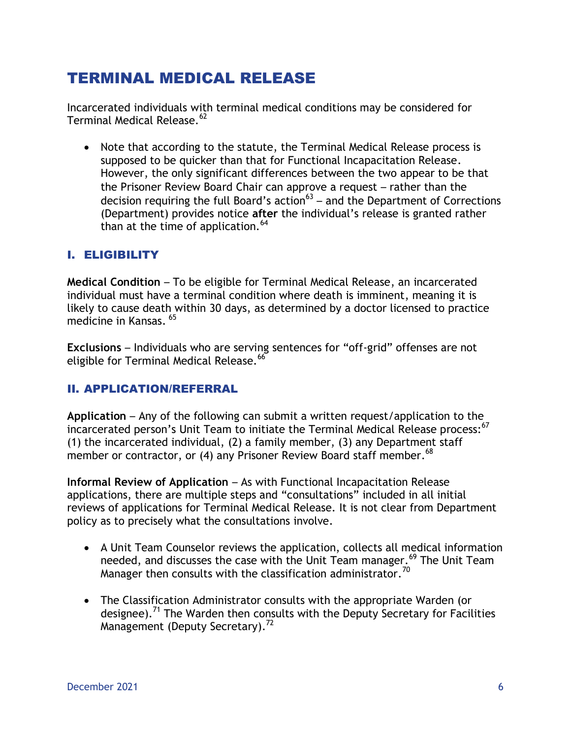# TERMINAL MEDICAL RELEASE

Incarcerated individuals with terminal medical conditions may be considered for Terminal Medical Release.<sup>62</sup>

 Note that according to the statute, the Terminal Medical Release process is supposed to be quicker than that for Functional Incapacitation Release. However, the only significant differences between the two appear to be that the Prisoner Review Board Chair can approve a request – rather than the decision requiring the full Board's action<sup>63</sup> – and the Department of Corrections (Department) provides notice **after** the individual's release is granted rather than at the time of application.  $64$ 

## I. ELIGIBILITY

**Medical Condition** – To be eligible for Terminal Medical Release, an incarcerated individual must have a terminal condition where death is imminent, meaning it is likely to cause death within 30 days, as determined by a doctor licensed to practice medicine in Kansas. <sup>65</sup>

**Exclusions** – Individuals who are serving sentences for "off-grid" offenses are not eligible for Terminal Medical Release.<sup>66</sup>

## II. APPLICATION/REFERRAL

**Application** – Any of the following can submit a written request/application to the incarcerated person's Unit Team to initiate the Terminal Medical Release process:<sup>67</sup> (1) the incarcerated individual, (2) a family member, (3) any Department staff member or contractor, or (4) any Prisoner Review Board staff member.<sup>68</sup>

**Informal Review of Application** – As with Functional Incapacitation Release applications, there are multiple steps and "consultations" included in all initial reviews of applications for Terminal Medical Release. It is not clear from Department policy as to precisely what the consultations involve.

- A Unit Team Counselor reviews the application, collects all medical information needed, and discusses the case with the Unit Team manager.<sup>69</sup> The Unit Team Manager then consults with the classification administrator.<sup>70</sup>
- The Classification Administrator consults with the appropriate Warden (or designee).<sup>71</sup> The Warden then consults with the Deputy Secretary for Facilities Management (Deputy Secretary).<sup>72</sup>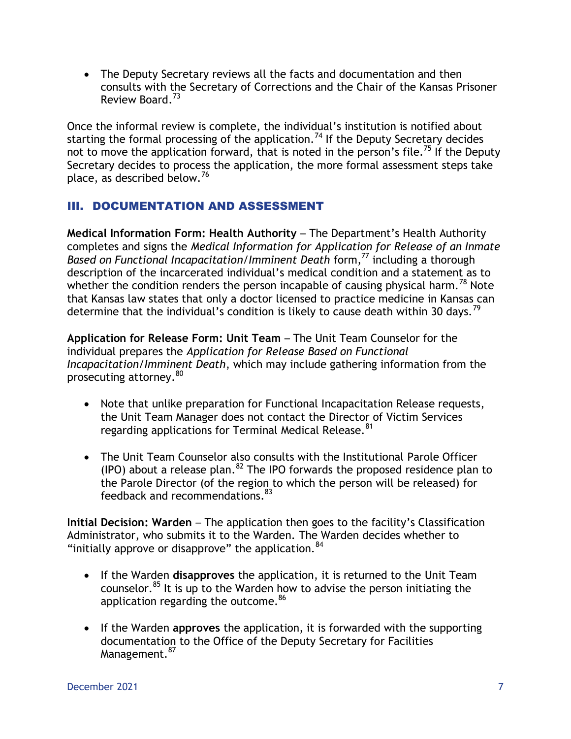The Deputy Secretary reviews all the facts and documentation and then consults with the Secretary of Corrections and the Chair of the Kansas Prisoner Review Board.<sup>73</sup>

Once the informal review is complete, the individual's institution is notified about starting the formal processing of the application.<sup>74</sup> If the Deputy Secretary decides not to move the application forward, that is noted in the person's file.<sup>75</sup> If the Deputy Secretary decides to process the application, the more formal assessment steps take place, as described below.<sup>76</sup>

## III. DOCUMENTATION AND ASSESSMENT

**Medical Information Form: Health Authority** – The Department's Health Authority completes and signs the *Medical Information for Application for Release of an Inmate Based on Functional Incapacitation/Imminent Death* form,<sup>77</sup> including a thorough description of the incarcerated individual's medical condition and a statement as to whether the condition renders the person incapable of causing physical harm.<sup>78</sup> Note that Kansas law states that only a doctor licensed to practice medicine in Kansas can determine that the individual's condition is likely to cause death within 30 days.<sup>79</sup>

**Application for Release Form: Unit Team** – The Unit Team Counselor for the individual prepares the *Application for Release Based on Functional Incapacitation/Imminent Death*, which may include gathering information from the prosecuting attorney.<sup>80</sup>

- Note that unlike preparation for Functional Incapacitation Release requests, the Unit Team Manager does not contact the Director of Victim Services regarding applications for Terminal Medical Release.<sup>81</sup>
- The Unit Team Counselor also consults with the Institutional Parole Officer (IPO) about a release plan.<sup>82</sup> The IPO forwards the proposed residence plan to the Parole Director (of the region to which the person will be released) for feedback and recommendations.<sup>83</sup>

**Initial Decision: Warden** – The application then goes to the facility's Classification Administrator, who submits it to the Warden. The Warden decides whether to "initially approve or disapprove" the application.  $84$ 

- If the Warden **disapproves** the application, it is returned to the Unit Team counselor.<sup>85</sup> It is up to the Warden how to advise the person initiating the application regarding the outcome.<sup>86</sup>
- If the Warden **approves** the application, it is forwarded with the supporting documentation to the Office of the Deputy Secretary for Facilities Management.<sup>87</sup>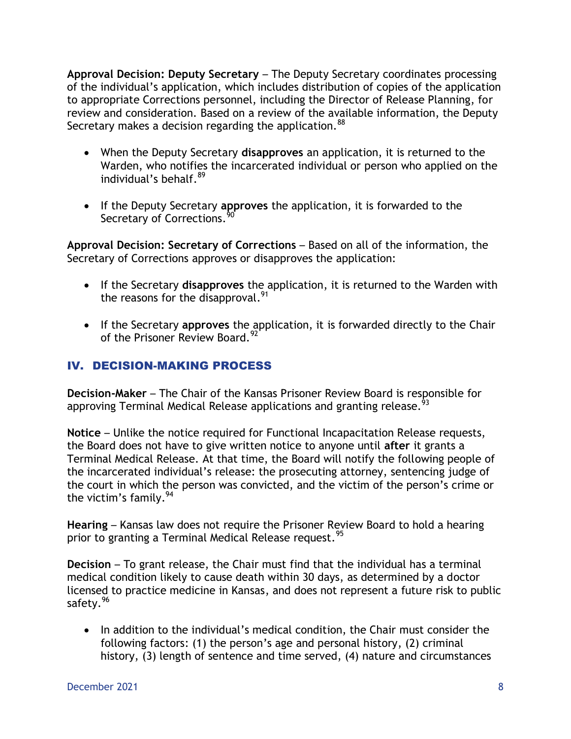**Approval Decision: Deputy Secretary** – The Deputy Secretary coordinates processing of the individual's application, which includes distribution of copies of the application to appropriate Corrections personnel, including the Director of Release Planning, for review and consideration. Based on a review of the available information, the Deputy Secretary makes a decision regarding the application.<sup>88</sup>

- When the Deputy Secretary **disapproves** an application, it is returned to the Warden, who notifies the incarcerated individual or person who applied on the individual's behalf.<sup>89</sup>
- If the Deputy Secretary **approves** the application, it is forwarded to the Secretary of Corrections.<sup>9</sup>

**Approval Decision: Secretary of Corrections** – Based on all of the information, the Secretary of Corrections approves or disapproves the application:

- If the Secretary **disapproves** the application, it is returned to the Warden with the reasons for the disapproval.<sup>91</sup>
- If the Secretary **approves** the application, it is forwarded directly to the Chair of the Prisoner Review Board.<sup>92</sup>

# IV. DECISION-MAKING PROCESS

**Decision-Maker** – The Chair of the Kansas Prisoner Review Board is responsible for approving Terminal Medical Release applications and granting release.<sup>93</sup>

**Notice** – Unlike the notice required for Functional Incapacitation Release requests, the Board does not have to give written notice to anyone until **after** it grants a Terminal Medical Release. At that time, the Board will notify the following people of the incarcerated individual's release: the prosecuting attorney, sentencing judge of the court in which the person was convicted, and the victim of the person's crime or the victim's family.  $94$ 

**Hearing** – Kansas law does not require the Prisoner Review Board to hold a hearing prior to granting a Terminal Medical Release request.<sup>95</sup>

**Decision** – To grant release, the Chair must find that the individual has a terminal medical condition likely to cause death within 30 days, as determined by a doctor licensed to practice medicine in Kansas, and does not represent a future risk to public safety.<sup>96</sup>

• In addition to the individual's medical condition, the Chair must consider the following factors: (1) the person's age and personal history, (2) criminal history, (3) length of sentence and time served, (4) nature and circumstances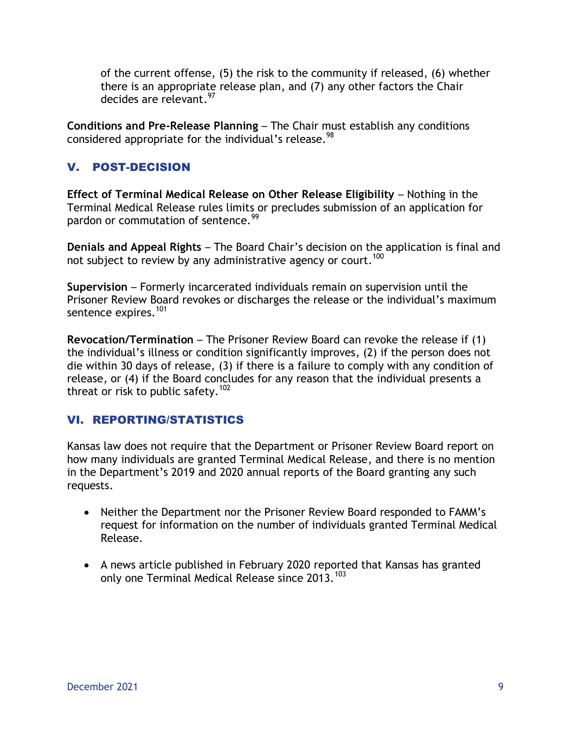of the current offense, (5) the risk to the community if released, (6) whether there is an appropriate release plan, and (7) any other factors the Chair decides are relevant.<sup>97</sup>

**Conditions and Pre-Release Planning** – The Chair must establish any conditions considered appropriate for the individual's release.<sup>98</sup>

# V. POST-DECISION

**Effect of Terminal Medical Release on Other Release Eligibility - Nothing in the** Terminal Medical Release rules limits or precludes submission of an application for pardon or commutation of sentence.<sup>99</sup>

**Denials and Appeal Rights** – The Board Chair's decision on the application is final and not subject to review by any administrative agency or court.<sup>100</sup>

**Supervision** – Formerly incarcerated individuals remain on supervision until the Prisoner Review Board revokes or discharges the release or the individual's maximum sentence expires.<sup>101</sup>

**Revocation/Termination** – The Prisoner Review Board can revoke the release if (1) the individual's illness or condition significantly improves, (2) if the person does not die within 30 days of release, (3) if there is a failure to comply with any condition of release, or (4) if the Board concludes for any reason that the individual presents a threat or risk to public safety.<sup>102</sup>

## VI. REPORTING/STATISTICS

Kansas law does not require that the Department or Prisoner Review Board report on how many individuals are granted Terminal Medical Release, and there is no mention in the Department's 2019 and 2020 annual reports of the Board granting any such requests.

- Neither the Department nor the Prisoner Review Board responded to FAMM's request for information on the number of individuals granted Terminal Medical Release.
- A news article published in February 2020 reported that Kansas has granted only one Terminal Medical Release since 2013.<sup>103</sup>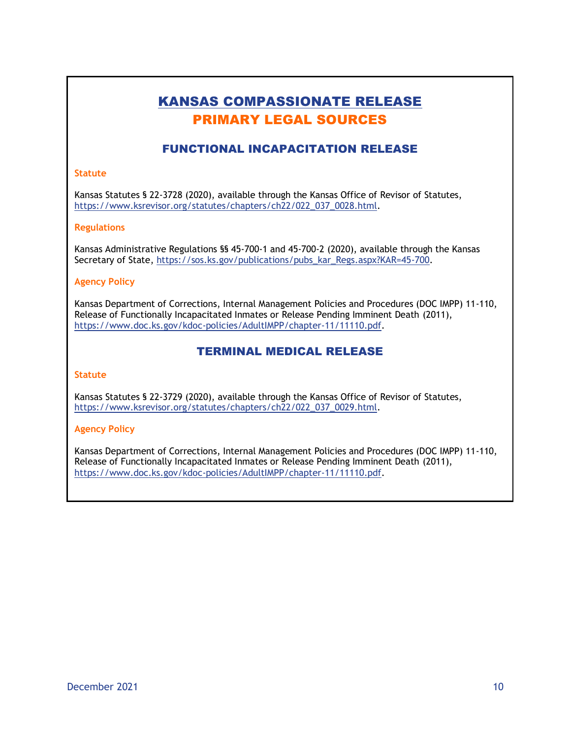# KANSAS COMPASSIONATE RELEASE PRIMARY LEGAL SOURCES

### FUNCTIONAL INCAPACITATION RELEASE

#### **Statute**

Kansas Statutes § 22-3728 (2020), available through the Kansas Office of Revisor of Statutes, [https://www.ksrevisor.org/statutes/chapters/ch22/022\\_037\\_0028.html.](https://www.ksrevisor.org/statutes/chapters/ch22/022_037_0028.html)

#### **Regulations**

Kansas Administrative Regulations §§ 45-700-1 and 45-700-2 (2020), available through the Kansas Secretary of State, [https://sos.ks.gov/publications/pubs\\_kar\\_Regs.aspx?KAR=45-700.](https://sos.ks.gov/publications/pubs_kar_Regs.aspx?KAR=45-700)

#### **Agency Policy**

Kansas Department of Corrections, Internal Management Policies and Procedures (DOC IMPP) 11-110, Release of Functionally Incapacitated Inmates or Release Pending Imminent Death (2011), [https://www.doc.ks.gov/kdoc-policies/AdultIMPP/chapter-11/11110.pdf.](https://www.doc.ks.gov/kdoc-policies/AdultIMPP/chapter-11/11110.pdf)

#### TERMINAL MEDICAL RELEASE

#### **Statute**

Kansas Statutes § 22-3729 (2020), available through the Kansas Office of Revisor of Statutes, [https://www.ksrevisor.org/statutes/chapters/ch22/022\\_037\\_0029.html.](https://www.ksrevisor.org/statutes/chapters/ch22/022_037_0029.html)

#### **Agency Policy**

Kansas Department of Corrections, Internal Management Policies and Procedures (DOC IMPP) 11-110, Release of Functionally Incapacitated Inmates or Release Pending Imminent Death (2011), [https://www.doc.ks.gov/kdoc-policies/AdultIMPP/chapter-11/11110.pdf.](https://www.doc.ks.gov/kdoc-policies/AdultIMPP/chapter-11/11110.pdf)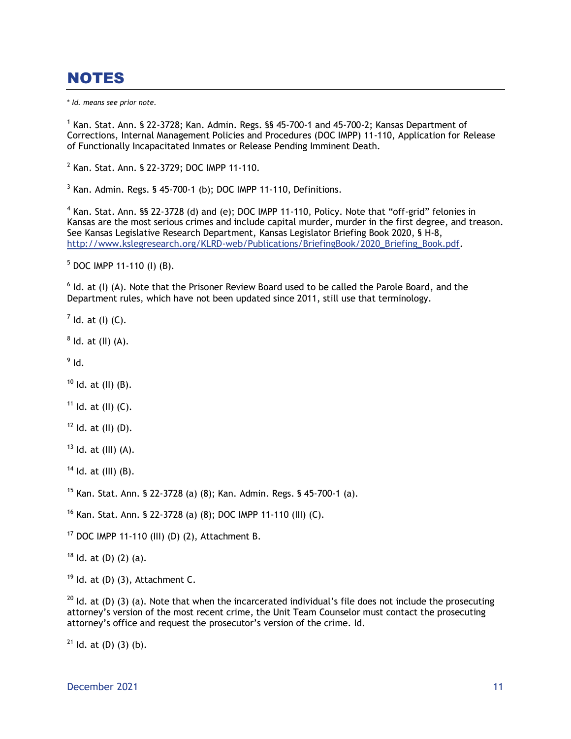# NOTES

\* *Id. means see prior note.*

<sup>1</sup> Kan. Stat. Ann. § 22-3728; Kan. Admin. Regs. §§ 45-700-1 and 45-700-2; Kansas Department of Corrections, Internal Management Policies and Procedures (DOC IMPP) 11-110, Application for Release of Functionally Incapacitated Inmates or Release Pending Imminent Death.

2 Kan. Stat. Ann. § 22-3729; DOC IMPP 11-110.

 $3$  Kan. Admin. Regs. § 45-700-1 (b); DOC IMPP 11-110, Definitions.

 $4$  Kan. Stat. Ann. §§ 22-3728 (d) and (e); DOC IMPP 11-110, Policy. Note that "off-grid" felonies in Kansas are the most serious crimes and include capital murder, murder in the first degree, and treason. See Kansas Legislative Research Department, Kansas Legislator Briefing Book 2020, § H-8, [http://www.kslegresearch.org/KLRD-web/Publications/BriefingBook/2020\\_Briefing\\_Book.pdf.](http://www.kslegresearch.org/KLRD-web/Publications/BriefingBook/2020_Briefing_Book.pdf)

<sup>5</sup> DOC IMPP 11-110 (I) (B).

 $<sup>6</sup>$  Id. at (I) (A). Note that the Prisoner Review Board used to be called the Parole Board, and the</sup> Department rules, which have not been updated since 2011, still use that terminology.

 $<sup>7</sup>$  ld. at (l) (C).</sup>

 $8$  ld. at (II) (A).

 $^9$  Id.

 $10$  Id. at (II) (B).

 $11$  Id. at (II) (C).

 $12$  Id. at (II) (D).

 $13$  Id. at (III) (A).

 $14$  Id. at (III) (B).

<sup>15</sup> Kan. Stat. Ann. § 22-3728 (a) (8); Kan. Admin. Regs. § 45-700-1 (a).

<sup>16</sup> Kan. Stat. Ann. § 22-3728 (a) (8); DOC IMPP 11-110 (III) (C).

 $17$  DOC IMPP 11-110 (III) (D) (2), Attachment B.

 $18$  Id. at (D) (2) (a).

 $19$  Id. at (D) (3), Attachment C.

 $20$  Id. at (D) (3) (a). Note that when the incarcerated individual's file does not include the prosecuting attorney's version of the most recent crime, the Unit Team Counselor must contact the prosecuting attorney's office and request the prosecutor's version of the crime. Id.

 $21$  Id. at (D) (3) (b).

December 2021 **11** and 2021 **11** and 2021 **11** and 2021 **11** and 2021 **11** and 2021 **11**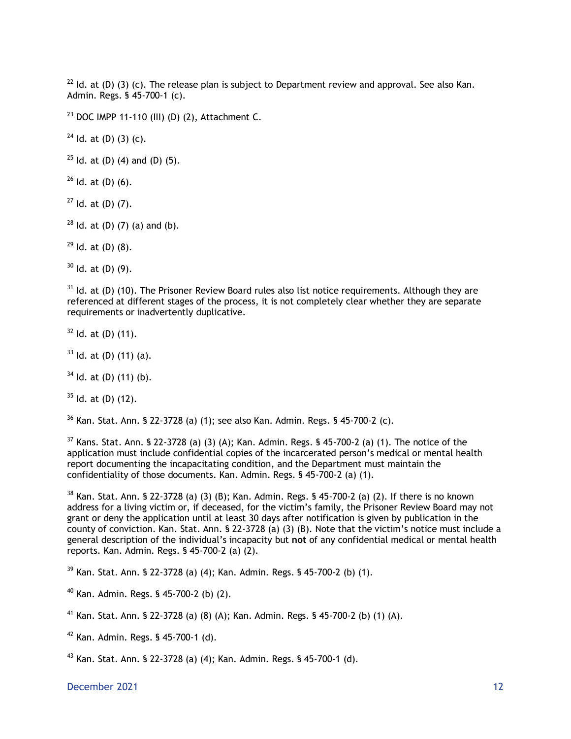$^{22}$  ld. at (D) (3) (c). The release plan is subject to Department review and approval. See also Kan. Admin. Regs. § 45-700-1 (c).

<sup>23</sup> DOC IMPP 11-110 (III) (D) (2), Attachment C.

 $24$  Id. at (D) (3) (c).

 $25$  Id. at (D) (4) and (D) (5).

 $26$  Id. at (D) (6).

 $27$  Id. at (D) (7).

 $28$  Id. at (D) (7) (a) and (b).

 $29$  Id. at (D) (8).

 $30$  Id. at (D) (9).

 $31$  Id. at (D) (10). The Prisoner Review Board rules also list notice requirements. Although they are referenced at different stages of the process, it is not completely clear whether they are separate requirements or inadvertently duplicative.

 $32$  Id. at (D) (11).

 $33$  Id. at (D) (11) (a).

 $34$  Id. at (D) (11) (b).

 $35$  Id. at (D) (12).

 $36$  Kan. Stat. Ann. § 22-3728 (a) (1); see also Kan. Admin. Regs. § 45-700-2 (c).

 $37$  Kans. Stat. Ann. § 22-3728 (a) (3) (A); Kan. Admin. Regs. § 45-700-2 (a) (1). The notice of the application must include confidential copies of the incarcerated person's medical or mental health report documenting the incapacitating condition, and the Department must maintain the confidentiality of those documents. Kan. Admin. Regs. § 45-700-2 (a) (1).

<sup>38</sup> Kan. Stat. Ann. § 22-3728 (a) (3) (B); Kan. Admin. Regs. § 45-700-2 (a) (2). If there is no known address for a living victim or, if deceased, for the victim's family, the Prisoner Review Board may not grant or deny the application until at least 30 days after notification is given by publication in the county of conviction. Kan. Stat. Ann. § 22-3728 (a) (3) (B). Note that the victim's notice must include a general description of the individual's incapacity but **not** of any confidential medical or mental health reports. Kan. Admin. Regs. § 45-700-2 (a) (2).

<sup>39</sup> Kan. Stat. Ann. § 22-3728 (a) (4); Kan. Admin. Regs. § 45-700-2 (b) (1).

<sup>40</sup> Kan. Admin. Regs. § 45-700-2 (b) (2).

<sup>41</sup> Kan. Stat. Ann. § 22-3728 (a) (8) (A); Kan. Admin. Regs. § 45-700-2 (b) (1) (A).

 $42$  Kan. Admin. Regs. § 45-700-1 (d).

<sup>43</sup> Kan. Stat. Ann. § 22-3728 (a) (4); Kan. Admin. Regs. § 45-700-1 (d).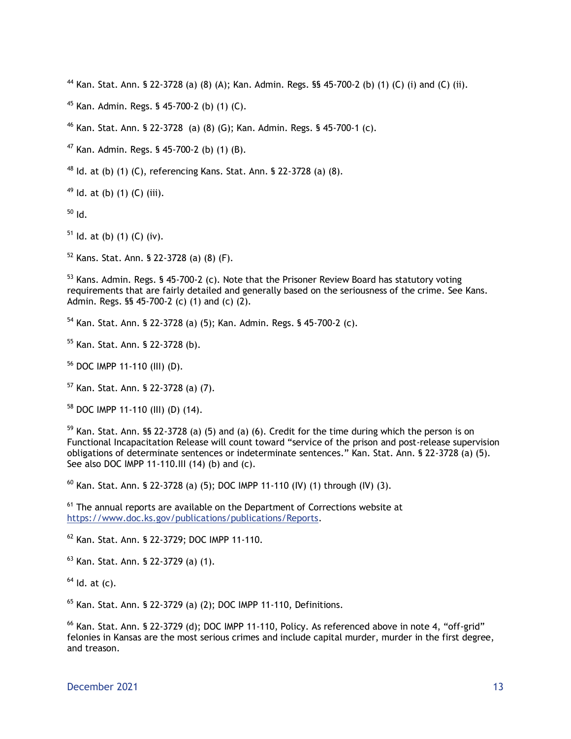Kan. Stat. Ann. § 22-3728 (a) (8) (A); Kan. Admin. Regs. §§ 45-700-2 (b) (1) (C) (i) and (C) (ii).

Kan. Admin. Regs. § 45-700-2 (b) (1) (C).

Kan. Stat. Ann. § 22-3728 (a) (8) (G); Kan. Admin. Regs. § 45-700-1 (c).

Kan. Admin. Regs. § 45-700-2 (b) (1) (B).

Id. at (b) (1) (C), referencing Kans. Stat. Ann. § 22-3728 (a) (8).

Id. at (b) (1) (C) (iii).

Id.

Id. at (b) (1) (C) (iv).

Kans. Stat. Ann. § 22-3728 (a) (8) (F).

 Kans. Admin. Regs. § 45-700-2 (c). Note that the Prisoner Review Board has statutory voting requirements that are fairly detailed and generally based on the seriousness of the crime. See Kans. Admin. Regs. §§ 45-700-2 (c) (1) and (c) (2).

Kan. Stat. Ann. § 22-3728 (a) (5); Kan. Admin. Regs. § 45-700-2 (c).

Kan. Stat. Ann. § 22-3728 (b).

DOC IMPP 11-110 (III) (D).

Kan. Stat. Ann. § 22-3728 (a) (7).

DOC IMPP 11-110 (III) (D) (14).

 Kan. Stat. Ann. §§ 22-3728 (a) (5) and (a) (6). Credit for the time during which the person is on Functional Incapacitation Release will count toward "service of the prison and post-release supervision obligations of determinate sentences or indeterminate sentences." Kan. Stat. Ann. § 22-3728 (a) (5). See also DOC IMPP 11-110.III (14) (b) and (c).

 $^{60}$  Kan. Stat. Ann. § 22-3728 (a) (5); DOC IMPP 11-110 (IV) (1) through (IV) (3).

 The annual reports are available on the Department of Corrections website at [https://www.doc.ks.gov/publications/publications/Reports.](https://www.doc.ks.gov/publications/publications/Reports)

Kan. Stat. Ann. § 22-3729; DOC IMPP 11-110.

Kan. Stat. Ann. § 22-3729 (a) (1).

Id. at (c).

Kan. Stat. Ann. § 22-3729 (a) (2); DOC IMPP 11-110, Definitions.

 Kan. Stat. Ann. § 22-3729 (d); DOC IMPP 11-110, Policy. As referenced above in note 4, "off-grid" felonies in Kansas are the most serious crimes and include capital murder, murder in the first degree, and treason.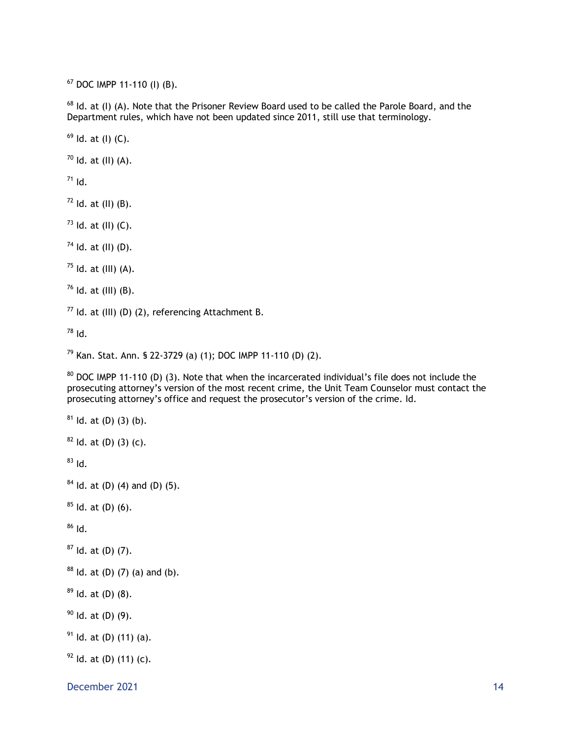DOC IMPP 11-110 (I) (B).

<sup>68</sup> Id. at (I) (A). Note that the Prisoner Review Board used to be called the Parole Board, and the Department rules, which have not been updated since 2011, still use that terminology.

Id. at (I) (C).

Id. at (II) (A).

Id.

Id. at (II) (B).

Id. at (II) (C).

Id. at (II) (D).

Id. at (III) (A).

Id. at (III) (B).

Id. at (III) (D) (2), referencing Attachment B.

Id.

Kan. Stat. Ann. § 22-3729 (a) (1); DOC IMPP 11-110 (D) (2).

<sup>80</sup> DOC IMPP 11-110 (D) (3). Note that when the incarcerated individual's file does not include the prosecuting attorney's version of the most recent crime, the Unit Team Counselor must contact the prosecuting attorney's office and request the prosecutor's version of the crime. Id.

ld. at (D) (3) (b).

Id. at (D) (3) (c).

Id.

```
84 Id. at (D) (4) and (D) (5).
```
Id. at (D) (6).

Id.

Id. at (D) (7).

```
88 ld. at (D) (7) (a) and (b).
```
Id. at (D) (8).

Id. at (D) (9).

Id. at (D) (11) (a).

Id. at (D) (11) (c).

December 2021 and the state of the state of the state of the state of the state of the state of the state of the state of the state of the state of the state of the state of the state of the state of the state of the state